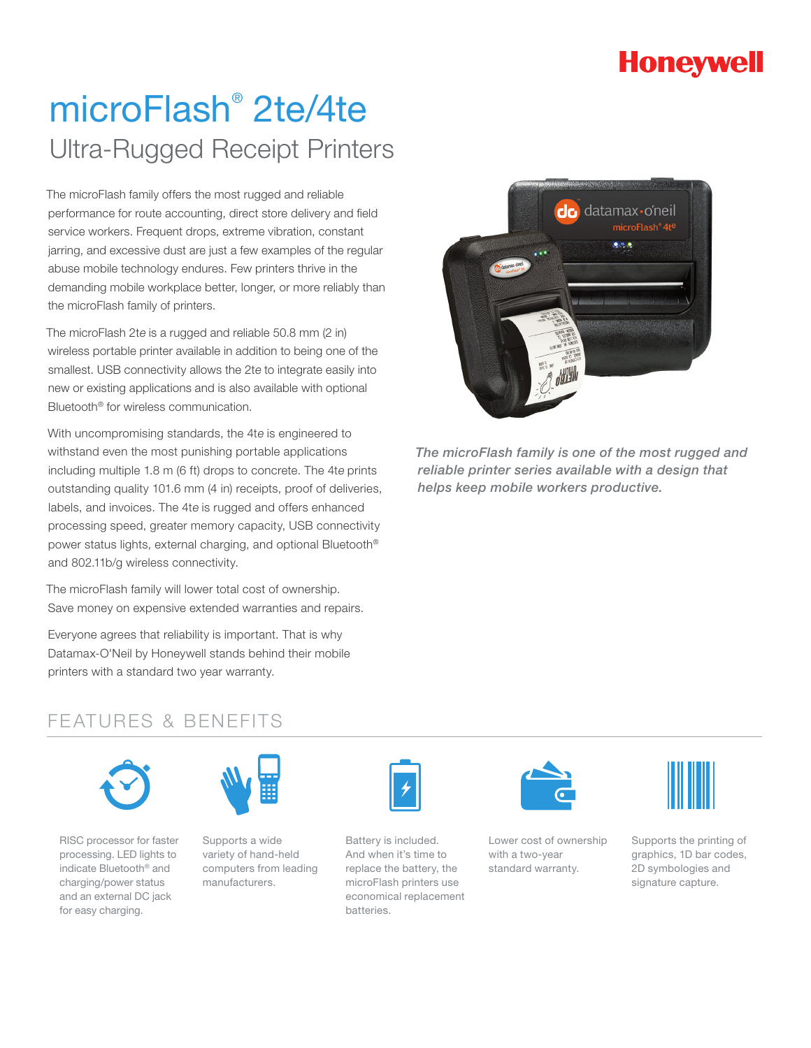## **Honeywell**

# microFlash® 2te/4te Ultra-Rugged Receipt Printers

The microFlash family offers the most rugged and reliable performance for route accounting, direct store delivery and field service workers. Frequent drops, extreme vibration, constant jarring, and excessive dust are just a few examples of the regular abuse mobile technology endures. Few printers thrive in the demanding mobile workplace better, longer, or more reliably than the microFlash family of printers.

The microFlash 2te is a rugged and reliable 50.8 mm (2 in) wireless portable printer available in addition to being one of the smallest. USB connectivity allows the 2te to integrate easily into new or existing applications and is also available with optional Bluetooth® for wireless communication.

With uncompromising standards, the 4te is engineered to withstand even the most punishing portable applications including multiple 1.8 m (6 ft) drops to concrete. The 4te prints outstanding quality 101.6 mm (4 in) receipts, proof of deliveries, labels, and invoices. The 4te is rugged and offers enhanced processing speed, greater memory capacity, USB connectivity power status lights, external charging, and optional Bluetooth® and 802.11b/g wireless connectivity.

The microFlash family will lower total cost of ownership. Save money on expensive extended warranties and repairs.

Everyone agrees that reliability is important. That is why Datamax-O'Neil by Honeywell stands behind their mobile printers with a standard two year warranty.



*The microFlash family is one of the most rugged and reliable printer series available with a design that helps keep mobile workers productive.*

### FEATURES & BENEFITS



RISC processor for faster processing. LED lights to indicate Bluetooth® and charging/power status and an external DC jack for easy charging.



Supports a wide variety of hand-held computers from leading manufacturers.



Battery is included. And when it's time to replace the battery, the microFlash printers use economical replacement batteries.



Lower cost of ownership with a two-year standard warranty.



Supports the printing of graphics, 1D bar codes, 2D symbologies and signature capture.